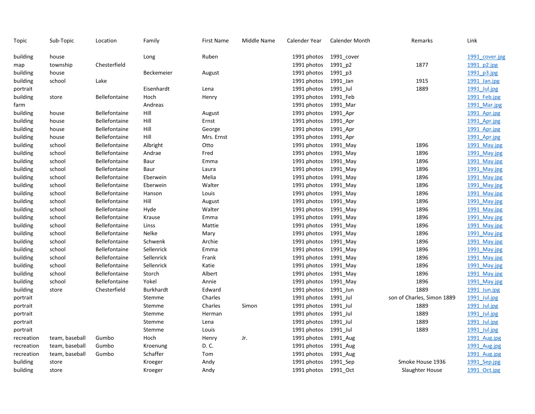| Topic      | Sub-Topic      | Location             | Family            | <b>First Name</b> | Middle Name | Calender Year | <b>Calender Month</b> | Remarks                    | Link           |
|------------|----------------|----------------------|-------------------|-------------------|-------------|---------------|-----------------------|----------------------------|----------------|
| building   | house          |                      | Long              | Ruben             |             | 1991 photos   | 1991_cover            |                            | 1991 cover.jpg |
| map        | township       | Chesterfield         |                   |                   |             | 1991 photos   | 1991_p2               | 1877                       | 1991 p2.jpg    |
| building   | house          |                      | <b>Beckemeier</b> | August            |             | 1991 photos   | 1991_p3               |                            | 1991 p3.jpg    |
| building   | school         | Lake                 |                   |                   |             | 1991 photos   | 1991_Jan              | 1915                       | 1991 Jan.jpg   |
| portrait   |                |                      | Eisenhardt        | Lena              |             | 1991 photos   | 1991_Jul              | 1889                       | 1991 Jul.jpg   |
| building   | store          | Bellefontaine        | Hoch              | Henry             |             | 1991 photos   | 1991_Feb              |                            | 1991 Feb.jpg   |
| farm       |                |                      | Andreas           |                   |             | 1991 photos   | 1991 Mar              |                            | 1991 Mar.jpg   |
| building   | house          | <b>Bellefontaine</b> | Hill              | August            |             | 1991 photos   | 1991 Apr              |                            | 1991 Apr.jpg   |
| building   | house          | <b>Bellefontaine</b> | Hill              | Ernst             |             | 1991 photos   | 1991 Apr              |                            | 1991 Apr.jpg   |
| building   | house          | Bellefontaine        | Hill              | George            |             | 1991 photos   | 1991 Apr              |                            | 1991 Apr.jpg   |
| building   | house          | <b>Bellefontaine</b> | Hill              | Mrs. Ernst        |             | 1991 photos   | 1991_Apr              |                            | 1991 Apr.jpg   |
| building   | school         | <b>Bellefontaine</b> | Albright          | Otto              |             | 1991 photos   | 1991_May              | 1896                       | 1991 May.jpg   |
| building   | school         | Bellefontaine        | Andrae            | Fred              |             | 1991 photos   | 1991_May              | 1896                       | 1991 May.jpg   |
| building   | school         | <b>Bellefontaine</b> | Baur              | Emma              |             | 1991 photos   | 1991_May              | 1896                       | 1991 May.jpg   |
| building   | school         | <b>Bellefontaine</b> | Baur              | Laura             |             | 1991 photos   | 1991 May              | 1896                       | 1991 May.jpg   |
| building   | school         | <b>Bellefontaine</b> | Eberwein          | Melia             |             | 1991 photos   | 1991 May              | 1896                       | 1991 May.jpg   |
| building   | school         | Bellefontaine        | Eberwein          | Walter            |             | 1991 photos   | 1991 May              | 1896                       | 1991 May.jpg   |
| building   | school         | Bellefontaine        | Hanson            | Louis             |             | 1991 photos   | 1991 May              | 1896                       | 1991 May.jpg   |
| building   | school         | Bellefontaine        | Hill              | August            |             | 1991 photos   | 1991_May              | 1896                       | 1991 May.jpg   |
| building   | school         | <b>Bellefontaine</b> | Hyde              | Walter            |             | 1991 photos   | 1991 May              | 1896                       | 1991 May.jpg   |
| building   | school         | <b>Bellefontaine</b> | Krause            | Emma              |             | 1991 photos   | 1991 May              | 1896                       | 1991 May.jpg   |
| building   | school         | <b>Bellefontaine</b> | Linss             | Mattie            |             | 1991 photos   | 1991 May              | 1896                       | 1991 May.jpg   |
| building   | school         | <b>Bellefontaine</b> | Nelke             | Mary              |             | 1991 photos   | 1991 May              | 1896                       | 1991 May.jpg   |
| building   | school         | Bellefontaine        | Schwenk           | Archie            |             | 1991 photos   | 1991_May              | 1896                       | 1991 May.jpg   |
| building   | school         | <b>Bellefontaine</b> | Sellenrick        | Emma              |             | 1991 photos   | 1991_May              | 1896                       | 1991 May.jpg   |
| building   | school         | Bellefontaine        | Sellenrick        | Frank             |             | 1991 photos   | 1991 May              | 1896                       | 1991 May.jpg   |
| building   | school         | Bellefontaine        | Sellenrick        | Katie             |             | 1991 photos   | 1991_May              | 1896                       | 1991 May.jpg   |
| building   | school         | Bellefontaine        | Storch            | Albert            |             | 1991 photos   | 1991 May              | 1896                       | 1991 May.jpg   |
| building   | school         | <b>Bellefontaine</b> | Yokel             | Annie             |             | 1991 photos   | 1991_May              | 1896                       | 1991 May.jpg   |
| building   | store          | Chesterfield         | <b>Burkhardt</b>  | Edward            |             | 1991 photos   | 1991 Jun              | 1889                       | 1991 Jun.jpg   |
| portrait   |                |                      | Stemme            | Charles           |             | 1991 photos   | 1991_Jul              | son of Charles, Simon 1889 | 1991 Jul.jpg   |
| portrait   |                |                      | Stemme            | Charles           | Simon       | 1991 photos   | 1991 Jul              | 1889                       | 1991 Jul.jpg   |
| portrait   |                |                      | Stemme            | Herman            |             | 1991 photos   | 1991 Jul              | 1889                       | 1991 Jul.jpg   |
| portrait   |                |                      | Stemme            | Lena              |             | 1991 photos   | 1991 Jul              | 1889                       | 1991 Jul.jpg   |
| portrait   |                |                      | Stemme            | Louis             |             | 1991 photos   | 1991_Jul              | 1889                       | 1991 Jul.jpg   |
| recreation | team, baseball | Gumbo                | Hoch              | Henry             | Jr.         | 1991 photos   | 1991 Aug              |                            | 1991 Aug.jpg   |
| recreation | team, baseball | Gumbo                | Kroenung          | D. C.             |             | 1991 photos   | 1991_Aug              |                            | 1991 Aug.jpg   |
| recreation | team, baseball | Gumbo                | Schaffer          | Tom               |             | 1991 photos   | 1991_Aug              |                            | 1991 Aug.jpg   |
| building   | store          |                      | Kroeger           | Andy              |             | 1991 photos   | 1991 Sep              | Smoke House 1936           | 1991 Sep.jpg   |
| building   | store          |                      | Kroeger           | Andy              |             | 1991 photos   | 1991 Oct              | Slaughter House            | 1991 Oct.jpg   |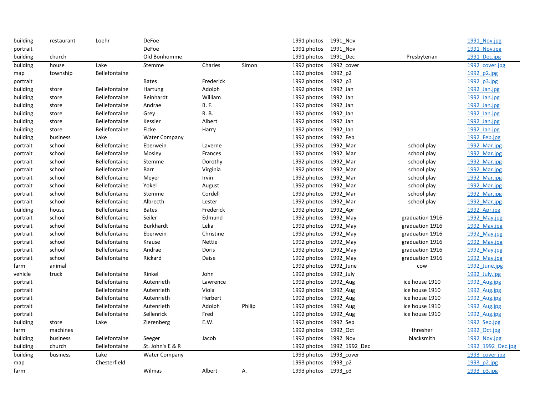| building | restaurant | Loehr                | DeFoe                |             |        | 1991 photos | 1991_Nov      |                 | 1991 Nov.jpg      |
|----------|------------|----------------------|----------------------|-------------|--------|-------------|---------------|-----------------|-------------------|
| portrait |            |                      | DeFoe                |             |        | 1991 photos | 1991 Nov      |                 | 1991 Nov.jpg      |
| building | church     |                      | Old Bonhomme         |             |        | 1991 photos | 1991 Dec      | Presbyterian    | 1991 Dec.jpg      |
| building | house      | Lake                 | Stemme               | Charles     | Simon  | 1992 photos | 1992_cover    |                 | 1992 cover.jpg    |
| map      | township   | Bellefontaine        |                      |             |        | 1992 photos | 1992_p2       |                 | 1992 p2.jpg       |
| portrait |            |                      | <b>Bates</b>         | Frederick   |        | 1992 photos | 1992_p3       |                 | 1992 p3.jpg       |
| building | store      | <b>Bellefontaine</b> | Hartung              | Adolph      |        | 1992 photos | 1992_Jan      |                 | 1992 Jan.jpg      |
| building | store      | Bellefontaine        | Reinhardt            | William     |        | 1992 photos | 1992_Jan      |                 | 1992 Jan.jpg      |
| building | store      | <b>Bellefontaine</b> | Andrae               | <b>B.F.</b> |        | 1992 photos | 1992_Jan      |                 | 1992 Jan.jpg      |
| building | store      | Bellefontaine        | Grey                 | R. B.       |        | 1992 photos | 1992_Jan      |                 | 1992 Jan.jpg      |
| building | store      | <b>Bellefontaine</b> | Kessler              | Albert      |        | 1992 photos | 1992_Jan      |                 | 1992 Jan.jpg      |
| building | store      | <b>Bellefontaine</b> | Ficke                | Harry       |        | 1992 photos | 1992_Jan      |                 | 1992 Jan.jpg      |
| building | business   | Lake                 | <b>Water Company</b> |             |        | 1992 photos | 1992_Feb      |                 | 1992 Feb.jpg      |
| portrait | school     | Bellefontaine        | Eberwein             | Laverne     |        | 1992 photos | 1992_Mar      | school play     | 1992 Mar.jpg      |
| portrait | school     | Bellefontaine        | Mosley               | Frances     |        | 1992 photos | 1992_Mar      | school play     | 1992 Mar.jpg      |
| portrait | school     | Bellefontaine        | Stemme               | Dorothy     |        | 1992 photos | 1992_Mar      | school play     | 1992 Mar.jpg      |
| portrait | school     | <b>Bellefontaine</b> | Barr                 | Virginia    |        | 1992 photos | 1992_Mar      | school play     | 1992_Mar.jpg      |
| portrait | school     | <b>Bellefontaine</b> | Meyer                | Irvin       |        | 1992 photos | 1992_Mar      | school play     | 1992 Mar.jpg      |
| portrait | school     | Bellefontaine        | Yokel                | August      |        | 1992 photos | 1992_Mar      | school play     | 1992 Mar.jpg      |
| portrait | school     | <b>Bellefontaine</b> | Stemme               | Cordell     |        | 1992 photos | 1992_Mar      | school play     | 1992 Mar.jpg      |
| portrait | school     | Bellefontaine        | Albrecth             | Lester      |        | 1992 photos | 1992_Mar      | school play     | 1992 Mar.jpg      |
| building | house      | <b>Bellefontaine</b> | <b>Bates</b>         | Frederick   |        | 1992 photos | 1992_Apr      |                 | 1992 Apr.jpg      |
| portrait | school     | Bellefontaine        | Seiler               | Edmund      |        | 1992 photos | 1992_May      | graduation 1916 | 1992 May.jpg      |
| portrait | school     | Bellefontaine        | <b>Burkhardt</b>     | Lelia       |        | 1992 photos | 1992_May      | graduation 1916 | 1992 May.jpg      |
| portrait | school     | Bellefontaine        | Eberwein             | Christine   |        | 1992 photos | 1992_May      | graduation 1916 | 1992 May.jpg      |
| portrait | school     | Bellefontaine        | Krause               | Nettie      |        | 1992 photos | 1992_May      | graduation 1916 | 1992 May.jpg      |
| portrait | school     | Bellefontaine        | Andrae               | Doris       |        | 1992 photos | 1992_May      | graduation 1916 | 1992 May.jpg      |
| portrait | school     | Bellefontaine        | Rickard              | Daise       |        | 1992 photos | 1992_May      | graduation 1916 | 1992 May.jpg      |
| farm     | animal     |                      |                      |             |        | 1992 photos | 1992_June     | cow             | 1992 June.jpg     |
| vehicle  | truck      | <b>Bellefontaine</b> | Rinkel               | John        |        | 1992 photos | 1992_July     |                 | 1992 July.jpg     |
| portrait |            | <b>Bellefontaine</b> | Autenrieth           | Lawrence    |        | 1992 photos | 1992_Aug      | ice house 1910  | 1992 Aug.jpg      |
| portrait |            | Bellefontaine        | Autenrieth           | Viola       |        | 1992 photos | 1992_Aug      | ice house 1910  | 1992 Aug.jpg      |
| portrait |            | <b>Bellefontaine</b> | Autenrieth           | Herbert     |        | 1992 photos | 1992_Aug      | ice house 1910  | 1992 Aug.jpg      |
| portrait |            | Bellefontaine        | Autenrieth           | Adolph      | Philip | 1992 photos | 1992_Aug      | ice house 1910  | 1992 Aug.jpg      |
| portrait |            | Bellefontaine        | Sellenrick           | Fred        |        | 1992 photos | 1992_Aug      | ice house 1910  | 1992 Aug.jpg      |
| building | store      | Lake                 | Zierenberg           | E.W.        |        | 1992 photos | 1992_Sep      |                 | 1992 Sep.jpg      |
| farm     | machines   |                      |                      |             |        | 1992 photos | 1992_Oct      | thresher        | 1992 Oct.jpg      |
| building | business   | Bellefontaine        | Seeger               | Jacob       |        | 1992 photos | 1992_Nov      | blacksmith      | 1992 Nov.jpg      |
| building | church     | Bellefontaine        | St. John's E & R     |             |        | 1992 photos | 1992 1992 Dec |                 | 1992 1992 Dec.jpg |
| building | business   | Lake                 | <b>Water Company</b> |             |        | 1993 photos | 1993 cover    |                 | 1993 cover.jpg    |
| map      |            | Chesterfield         |                      |             |        | 1993 photos | 1993_p2       |                 | 1993 p2.jpg       |
| farm     |            |                      | Wilmas               | Albert      | А.     | 1993 photos | 1993_p3       |                 | 1993 p3.jpg       |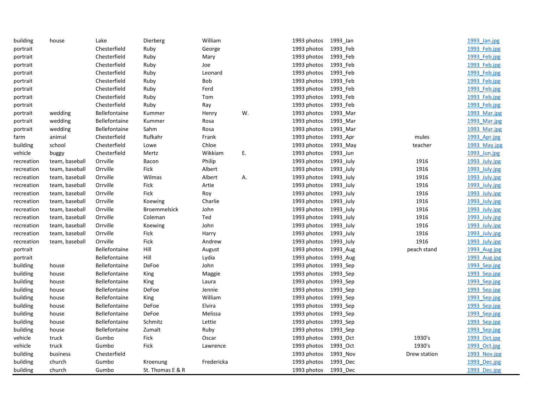| building   | house          | Lake                 | Dierberg            | William    |    | 1993 photos | 1993_Jan  |              | 1993 Jan.jpg  |
|------------|----------------|----------------------|---------------------|------------|----|-------------|-----------|--------------|---------------|
| portrait   |                | Chesterfield         | Ruby                | George     |    | 1993 photos | 1993_Feb  |              | 1993 Feb.jpg  |
| portrait   |                | Chesterfield         | Ruby                | Mary       |    | 1993 photos | 1993_Feb  |              | 1993 Feb.jpg  |
| portrait   |                | Chesterfield         | Ruby                | Joe        |    | 1993 photos | 1993_Feb  |              | 1993 Feb.jpg  |
| portrait   |                | Chesterfield         | Ruby                | Leonard    |    | 1993 photos | 1993 Feb  |              | 1993 Feb.jpg  |
| portrait   |                | Chesterfield         | Ruby                | Bob        |    | 1993 photos | 1993 Feb  |              | 1993 Feb.jpg  |
| portrait   |                | Chesterfield         | Ruby                | Ferd       |    | 1993 photos | 1993_Feb  |              | 1993 Feb.jpg  |
| portrait   |                | Chesterfield         | Ruby                | Tom        |    | 1993 photos | 1993_Feb  |              | 1993 Feb.jpg  |
| portrait   |                | Chesterfield         | Ruby                | Ray        |    | 1993 photos | 1993 Feb  |              | 1993 Feb.jpg  |
| portrait   | wedding        | Bellefontaine        | Kummer              | Henry      | W. | 1993 photos | 1993_Mar  |              | 1993 Mar.jpg  |
| portrait   | wedding        | Bellefontaine        | Kummer              | Rosa       |    | 1993 photos | 1993_Mar  |              | 1993 Mar.jpg  |
| portrait   | wedding        | Bellefontaine        | Sahm                | Rosa       |    | 1993 photos | 1993_Mar  |              | 1993 Mar.jpg  |
| farm       | animal         | Chesterfield         | Rufkahr             | Frank      |    | 1993 photos | 1993 Apr  | mules        | 1993 Apr.jpg  |
| building   | school         | Chesterfield         | Lowe                | Chloe      |    | 1993 photos | 1993 May  | teacher      | 1993 May.jpg  |
| vehicle    | buggy          | Chesterfield         | Mertz               | Wikkiam    | Ε. | 1993 photos | 1993_Jun  |              | 1993 Jun.jpg  |
| recreation | team, baseball | Orrville             | Bacon               | Philip     |    | 1993 photos | 1993_July | 1916         | 1993 July.jpg |
| recreation | team, baseball | Orrville             | <b>Fick</b>         | Albert     |    | 1993 photos | 1993_July | 1916         | 1993 July.jpg |
| recreation | team, baseball | Orrville             | Wilmas              | Albert     | Α. | 1993 photos | 1993_July | 1916         | 1993 July.jpg |
| recreation | team, baseball | Orrville             | Fick                | Artie      |    | 1993 photos | 1993_July | 1916         | 1993 July.jpg |
| recreation | team, baseball | Orrville             | Fick                | Roy        |    | 1993 photos | 1993 July | 1916         | 1993 July.jpg |
| recreation | team, baseball | Orrville             | Koewing             | Charlie    |    | 1993 photos | 1993 July | 1916         | 1993 July.jpg |
| recreation | team, baseball | Orrville             | <b>Broemmelsick</b> | John       |    | 1993 photos | 1993 July | 1916         | 1993 July.jpg |
| recreation | team, baseball | Orrville             | Coleman             | Ted        |    | 1993 photos | 1993 July | 1916         | 1993 July.jpg |
| recreation | team, baseball | Orrville             | Koewing             | John       |    | 1993 photos | 1993_July | 1916         | 1993 July.jpg |
| recreation | team, baseball | Orrville             | Fick                | Harry      |    | 1993 photos | 1993 July | 1916         | 1993 July.jpg |
| recreation | team, baseball | Orrville             | Fick                | Andrew     |    | 1993 photos | 1993_July | 1916         | 1993 July.jpg |
| portrait   |                | Bellefontaine        | Hill                | August     |    | 1993 photos | 1993 Aug  | peach stand  | 1993 Aug.jpg  |
| portrait   |                | Bellefontaine        | Hill                | Lydia      |    | 1993 photos | 1993_Aug  |              | 1993 Aug.jpg  |
| building   | house          | Bellefontaine        | DeFoe               | John       |    | 1993 photos | 1993_Sep  |              | 1993 Sep.jpg  |
| building   | house          | Bellefontaine        | King                | Maggie     |    | 1993 photos | 1993 Sep  |              | 1993 Sep.jpg  |
| building   | house          | Bellefontaine        | King                | Laura      |    | 1993 photos | 1993_Sep  |              | 1993 Sep.jpg  |
| building   | house          | Bellefontaine        | DeFoe               | Jennie     |    | 1993 photos | 1993 Sep  |              | 1993 Sep.jpg  |
| building   | house          | <b>Bellefontaine</b> | King                | William    |    | 1993 photos | 1993_Sep  |              | 1993 Sep.jpg  |
| building   | house          | Bellefontaine        | DeFoe               | Elvira     |    | 1993 photos | 1993_Sep  |              | 1993 Sep.jpg  |
| building   | house          | <b>Bellefontaine</b> | DeFoe               | Melissa    |    | 1993 photos | 1993_Sep  |              | 1993 Sep.jpg  |
| building   | house          | <b>Bellefontaine</b> | Schmitz             | Lettie     |    | 1993 photos | 1993 Sep  |              | 1993 Sep.jpg  |
| building   | house          | Bellefontaine        | Zumalt              | Ruby       |    | 1993 photos | 1993_Sep  |              | 1993 Sep.jpg  |
| vehicle    | truck          | Gumbo                | Fick                | Oscar      |    | 1993 photos | 1993_Oct  | 1930's       | 1993 Oct.jpg  |
| vehicle    | truck          | Gumbo                | Fick                | Lawrence   |    | 1993 photos | 1993 Oct  | 1930's       | 1993 Oct.jpg  |
| building   | business       | Chesterfield         |                     |            |    | 1993 photos | 1993 Nov  | Drew station | 1993 Nov.jpg  |
| building   | church         | Gumbo                | Kroenung            | Fredericka |    | 1993 photos | 1993 Dec  |              | 1993 Dec.jpg  |
| building   | church         | Gumbo                | St. Thomas E & R    |            |    | 1993 photos | 1993_Dec  |              | 1993 Dec.jpg  |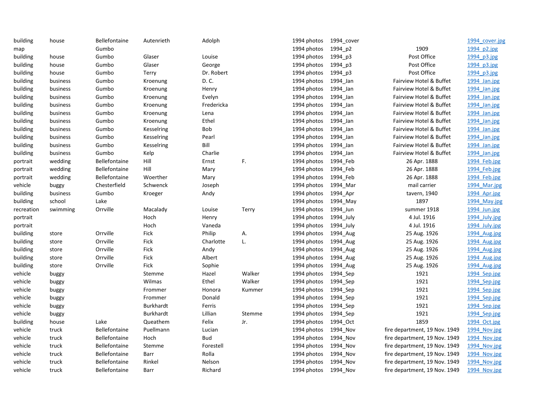| building   | house    | Bellefontaine        | Autenrieth       | Adolph     |        | 1994 photos          | 1994_cover |                               | 1994 cover.jpg |
|------------|----------|----------------------|------------------|------------|--------|----------------------|------------|-------------------------------|----------------|
| map        |          | Gumbo                |                  |            |        | 1994 photos          | 1994 p2    | 1909                          | 1994 p2.jpg    |
| building   | house    | Gumbo                | Glaser           | Louise     |        | 1994 photos          | 1994 p3    | Post Office                   | 1994 p3.jpg    |
| building   | house    | Gumbo                | Glaser           | George     |        | 1994 photos          | 1994 p3    | Post Office                   | 1994 p3.jpg    |
| building   | house    | Gumbo                | Terry            | Dr. Robert |        | 1994 photos          | 1994_p3    | Post Office                   | 1994 p3.jpg    |
| building   | business | Gumbo                | Kroenung         | D. C.      |        | 1994 photos          | 1994 Jan   | Fairview Hotel & Buffet       | 1994 Jan.jpg   |
| building   | business | Gumbo                | Kroenung         | Henry      |        | 1994 photos          | 1994_Jan   | Fairview Hotel & Buffet       | 1994 Jan.jpg   |
| building   | business | Gumbo                | Kroenung         | Evelyn     |        | 1994 photos          | 1994_Jan   | Fairview Hotel & Buffet       | 1994 Jan.jpg   |
| building   | business | Gumbo                | Kroenung         | Fredericka |        | 1994 photos          | 1994 Jan   | Fairview Hotel & Buffet       | 1994 Jan.jpg   |
| building   | business | Gumbo                | Kroenung         | Lena       |        | 1994 photos          | 1994 Jan   | Fairview Hotel & Buffet       | 1994 Jan.jpg   |
| building   | business | Gumbo                | Kroenung         | Ethel      |        | 1994 photos          | 1994_Jan   | Fairview Hotel & Buffet       | 1994 Jan.jpg   |
| building   | business | Gumbo                | Kesselring       | Bob        |        | 1994 photos          | 1994 Jan   | Fairview Hotel & Buffet       | 1994 Jan.jpg   |
| building   | business | Gumbo                | Kesselring       | Pearl      |        | 1994 photos          | 1994 Jan   | Fairview Hotel & Buffet       | 1994 Jan.jpg   |
| building   | business | Gumbo                | Kesselring       | Bill       |        | 1994 photos          | 1994_Jan   | Fairview Hotel & Buffet       | 1994 Jan.jpg   |
| building   | business | Gumbo                | Kelp             | Charlie    |        | 1994 photos          | 1994_Jan   | Fairview Hotel & Buffet       | 1994 Jan.jpg   |
| portrait   | wedding  | Bellefontaine        | Hill             | Ernst      | F.     | 1994 photos          | 1994_Feb   | 26 Apr. 1888                  | 1994 Feb.jpg   |
| portrait   | wedding  | <b>Bellefontaine</b> | Hill             | Mary       |        | 1994 photos          | 1994 Feb   | 26 Apr. 1888                  | 1994 Feb.jpg   |
| portrait   | wedding  | <b>Bellefontaine</b> | Woerther         | Mary       |        | 1994 photos          | 1994 Feb   | 26 Apr. 1888                  | 1994 Feb.jpg   |
| vehicle    | buggy    | Chesterfield         | Schwenck         | Joseph     |        | 1994 photos          | 1994 Mar   | mail carrier                  | 1994 Mar.jpg   |
| building   | business | Gumbo                | Kroeger          | Andy       |        | 1994 photos          | 1994 Apr   | tavern, 1940                  | 1994 Apr.jpg   |
| building   | school   | Lake                 |                  |            |        | 1994 photos          | 1994 May   | 1897                          | 1994 May.jpg   |
| recreation | swimming | Orrville             | Macalady         | Louise     | Terry  | 1994 photos          | 1994 Jun   | summer 1918                   | 1994 Jun.jpg   |
| portrait   |          |                      | Hoch             | Henry      |        | 1994 photos          | 1994 July  | 4 Jul. 1916                   | 1994 July.jpg  |
| portrait   |          |                      | Hoch             | Vaneda     |        | 1994 photos          | 1994_July  | 4 Jul. 1916                   | 1994 July.jpg  |
| building   | store    | Orrville             | <b>Fick</b>      | Philip     | Α.     | 1994 photos          | 1994_Aug   | 25 Aug. 1926                  | 1994 Aug.jpg   |
| building   | store    | Orrville             | Fick             | Charlotte  | L.     | 1994 photos          | 1994 Aug   | 25 Aug. 1926                  | 1994 Aug.jpg   |
| building   | store    | Orrville             | Fick             | Andy       |        | 1994 photos          | 1994 Aug   | 25 Aug. 1926                  | 1994 Aug.jpg   |
| building   | store    | Orrville             | Fick             | Albert     |        | 1994 photos          | 1994 Aug   | 25 Aug. 1926                  | 1994 Aug.jpg   |
| building   | store    | Orrville             | Fick             | Sophie     |        | 1994 photos          | 1994_Aug   | 25 Aug. 1926                  | 1994 Aug.jpg   |
| vehicle    | buggy    |                      | Stemme           | Hazel      | Walker | 1994 photos          | 1994 Sep   | 1921                          | 1994 Sep.jpg   |
| vehicle    | buggy    |                      | Wilmas           | Ethel      | Walker | 1994 photos          | 1994_Sep   | 1921                          | 1994 Sep.jpg   |
| vehicle    | buggy    |                      | Frommer          | Honora     | Kummer | 1994 photos          | 1994 Sep   | 1921                          | 1994 Sep.jpg   |
| vehicle    | buggy    |                      | Frommer          | Donald     |        | 1994 photos          | 1994 Sep   | 1921                          | 1994 Sep.jpg   |
| vehicle    | buggy    |                      | <b>Burkhardt</b> | Ferris     |        | 1994 photos          | 1994 Sep   | 1921                          | 1994 Sep.jpg   |
| vehicle    | buggy    |                      | Burkhardt        | Lillian    | Stemme | 1994 photos          | 1994 Sep   | 1921                          | 1994 Sep.jpg   |
| building   | house    | Lake                 | Queathem         | Felix      | Jr.    | 1994 photos          | 1994_Oct   | 1859                          | 1994 Oct.jpg   |
| vehicle    | truck    | Bellefontaine        | Puellmann        | Lucian     |        | 1994 photos          | 1994 Nov   | fire department, 19 Nov. 1949 | 1994 Nov.jpg   |
| vehicle    | truck    | Bellefontaine        | Hoch             | Bud        |        | 1994 photos          | 1994 Nov   | fire department, 19 Nov. 1949 | 1994 Nov.jpg   |
| vehicle    | truck    | <b>Bellefontaine</b> | Stemme           | Forestell  |        | 1994 photos          | 1994 Nov   | fire department, 19 Nov. 1949 | 1994 Nov.jpg   |
| vehicle    | truck    | <b>Bellefontaine</b> | Barr             | Rolla      |        | 1994 photos          | 1994_Nov   | fire department, 19 Nov. 1949 | 1994 Nov.jpg   |
| vehicle    | truck    | <b>Bellefontaine</b> | Rinkel           | Nelson     |        | 1994 photos          | 1994 Nov   | fire department, 19 Nov. 1949 | 1994 Nov.jpg   |
| vehicle    | truck    | <b>Bellefontaine</b> | Barr             | Richard    |        | 1994 photos 1994 Nov |            | fire department, 19 Nov. 1949 | 1994 Nov.jpg   |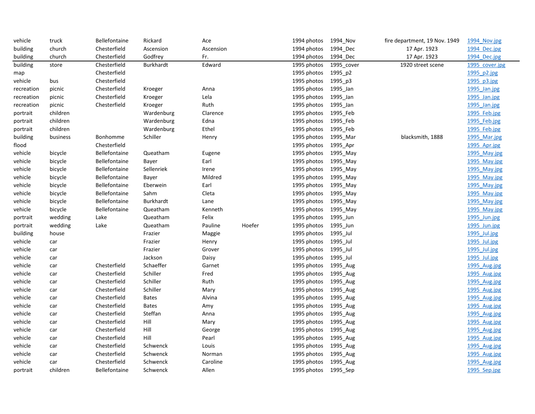| vehicle    | truck    | Bellefontaine        | Rickard      | Ace       |        | 1994 photos          | 1994_Nov   | fire department, 19 Nov. 1949 | 1994 Nov.jpg   |
|------------|----------|----------------------|--------------|-----------|--------|----------------------|------------|-------------------------------|----------------|
| building   | church   | Chesterfield         | Ascension    | Ascension |        | 1994 photos          | 1994_Dec   | 17 Apr. 1923                  | 1994 Dec.jpg   |
| building   | church   | Chesterfield         | Godfrey      | Fr.       |        | 1994 photos          | 1994 Dec   | 17 Apr. 1923                  | 1994 Dec.jpg   |
| building   | store    | Chesterfield         | Burkhardt    | Edward    |        | 1995 photos          | 1995 cover | 1920 street scene             | 1995 cover.jpg |
| map        |          | Chesterfield         |              |           |        | 1995 photos          | 1995_p2    |                               | 1995 p2.jpg    |
| vehicle    | bus      | Chesterfield         |              |           |        | 1995 photos          | 1995 p3    |                               | 1995 p3.jpg    |
| recreation | picnic   | Chesterfield         | Kroeger      | Anna      |        | 1995 photos          | 1995 Jan   |                               | 1995 Jan.jpg   |
| recreation | picnic   | Chesterfield         | Kroeger      | Lela      |        | 1995 photos          | 1995 Jan   |                               | 1995 Jan.jpg   |
| recreation | picnic   | Chesterfield         | Kroeger      | Ruth      |        | 1995 photos          | 1995_Jan   |                               | 1995 Jan.jpg   |
| portrait   | children |                      | Wardenburg   | Clarence  |        | 1995 photos          | 1995 Feb   |                               | 1995 Feb.jpg   |
| portrait   | children |                      | Wardenburg   | Edna      |        | 1995 photos          | 1995_Feb   |                               | 1995 Feb.jpg   |
| portrait   | children |                      | Wardenburg   | Ethel     |        | 1995 photos          | 1995 Feb   |                               | 1995 Feb.jpg   |
| building   | business | Bonhomme             | Schiller     | Henry     |        | 1995 photos          | 1995 Mar   | blacksmith, 1888              | 1995 Mar.jpg   |
| flood      |          | Chesterfield         |              |           |        | 1995 photos          | 1995 Apr   |                               | 1995 Apr.jpg   |
| vehicle    | bicycle  | Bellefontaine        | Queatham     | Eugene    |        | 1995 photos          | 1995 May   |                               | 1995 May.jpg   |
| vehicle    | bicycle  | <b>Bellefontaine</b> | Bayer        | Earl      |        | 1995 photos          | 1995 May   |                               | 1995 May.jpg   |
| vehicle    | bicycle  | <b>Bellefontaine</b> | Sellenriek   | Irene     |        | 1995 photos          | 1995_May   |                               | 1995 May.jpg   |
| vehicle    | bicycle  | Bellefontaine        | Bayer        | Mildred   |        | 1995 photos          | 1995_May   |                               | 1995 May.jpg   |
| vehicle    | bicycle  | Bellefontaine        | Eberwein     | Earl      |        | 1995 photos          | 1995 May   |                               | 1995 May.jpg   |
| vehicle    | bicycle  | Bellefontaine        | Sahm         | Cleta     |        | 1995 photos          | 1995 May   |                               | 1995 May.jpg   |
| vehicle    | bicycle  | Bellefontaine        | Burkhardt    | Lane      |        | 1995 photos          | 1995 May   |                               | 1995 May.jpg   |
| vehicle    | bicycle  | <b>Bellefontaine</b> | Queatham     | Kenneth   |        | 1995 photos          | 1995_May   |                               | 1995 May.jpg   |
| portrait   | wedding  | Lake                 | Queatham     | Felix     |        | 1995 photos          | 1995 Jun   |                               | 1995 Jun.jpg   |
| portrait   | wedding  | Lake                 | Queatham     | Pauline   | Hoefer | 1995 photos          | 1995 Jun   |                               | 1995 Jun.jpg   |
| building   | house    |                      | Frazier      | Maggie    |        | 1995 photos          | 1995 Jul   |                               | 1995 Jul.jpg   |
| vehicle    | car      |                      | Frazier      | Henry     |        | 1995 photos          | 1995_Jul   |                               | 1995 Jul.jpg   |
| vehicle    | car      |                      | Frazier      | Grover    |        | 1995 photos          | 1995_Jul   |                               | 1995 Jul.jpg   |
| vehicle    | car      |                      | Jackson      | Daisy     |        | 1995 photos          | 1995_Jul   |                               | 1995 Jul.jpg   |
| vehicle    | car      | Chesterfield         | Schaeffer    | Garnet    |        | 1995 photos          | 1995 Aug   |                               | 1995 Aug.jpg   |
| vehicle    | car      | Chesterfield         | Schiller     | Fred      |        | 1995 photos          | 1995 Aug   |                               | 1995 Aug.jpg   |
| vehicle    | car      | Chesterfield         | Schiller     | Ruth      |        | 1995 photos          | 1995_Aug   |                               | 1995 Aug.jpg   |
| vehicle    | car      | Chesterfield         | Schiller     | Mary      |        | 1995 photos          | 1995 Aug   |                               | 1995 Aug.jpg   |
| vehicle    | car      | Chesterfield         | <b>Bates</b> | Alvina    |        | 1995 photos          | 1995_Aug   |                               | 1995 Aug.jpg   |
| vehicle    | car      | Chesterfield         | <b>Bates</b> | Amy       |        | 1995 photos          | 1995 Aug   |                               | 1995 Aug.jpg   |
| vehicle    | car      | Chesterfield         | Steffan      | Anna      |        | 1995 photos          | 1995_Aug   |                               | 1995 Aug.jpg   |
| vehicle    | car      | Chesterfield         | Hill         | Mary      |        | 1995 photos          | 1995_Aug   |                               | 1995 Aug.jpg   |
| vehicle    | car      | Chesterfield         | Hill         | George    |        | 1995 photos          | 1995 Aug   |                               | 1995 Aug.jpg   |
| vehicle    | car      | Chesterfield         | Hill         | Pearl     |        | 1995 photos          | 1995 Aug   |                               | 1995 Aug.jpg   |
| vehicle    | car      | Chesterfield         | Schwenck     | Louis     |        | 1995 photos          | 1995_Aug   |                               | 1995 Aug.jpg   |
| vehicle    | car      | Chesterfield         | Schwenck     | Norman    |        | 1995 photos          | 1995_Aug   |                               | 1995 Aug.jpg   |
| vehicle    | car      | Chesterfield         | Schwenck     | Caroline  |        | 1995 photos          | 1995 Aug   |                               | 1995 Aug.jpg   |
| portrait   | children | Bellefontaine        | Schwenck     | Allen     |        | 1995 photos 1995_Sep |            |                               | 1995 Sep.jpg   |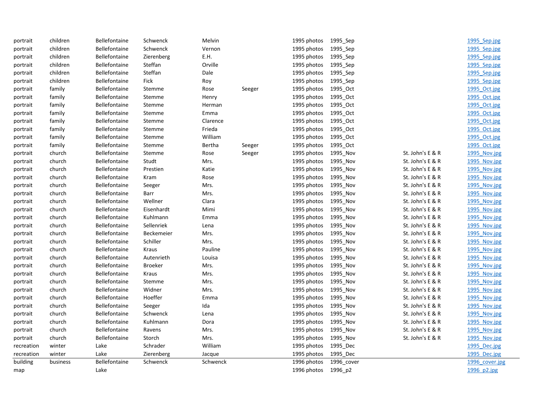| portrait   | children | <b>Bellefontaine</b> | Schwenck       | Melvin   |        | 1995 photos         | 1995_Sep   |                  | 1995 Sep.jpg   |
|------------|----------|----------------------|----------------|----------|--------|---------------------|------------|------------------|----------------|
| portrait   | children | Bellefontaine        | Schwenck       | Vernon   |        | 1995 photos         | 1995_Sep   |                  | 1995 Sep.jpg   |
| portrait   | children | <b>Bellefontaine</b> | Zierenberg     | E.H.     |        | 1995 photos         | 1995_Sep   |                  | 1995 Sep.jpg   |
| portrait   | children | <b>Bellefontaine</b> | Steffan        | Orville  |        | 1995 photos         | 1995_Sep   |                  | 1995 Sep.jpg   |
| portrait   | children | <b>Bellefontaine</b> | Steffan        | Dale     |        | 1995 photos         | 1995_Sep   |                  | 1995 Sep.jpg   |
| portrait   | children | <b>Bellefontaine</b> | Fick           | Roy      |        | 1995 photos         | 1995 Sep   |                  | 1995 Sep.jpg   |
| portrait   | family   | Bellefontaine        | Stemme         | Rose     | Seeger | 1995 photos         | 1995 Oct   |                  | 1995 Oct.jpg   |
| portrait   | family   | Bellefontaine        | Stemme         | Henry    |        | 1995 photos         | 1995 Oct   |                  | 1995 Oct.jpg   |
| portrait   | family   | <b>Bellefontaine</b> | Stemme         | Herman   |        | 1995 photos         | 1995_Oct   |                  | 1995 Oct.jpg   |
| portrait   | family   | Bellefontaine        | Stemme         | Emma     |        | 1995 photos         | 1995 Oct   |                  | 1995 Oct.jpg   |
| portrait   | family   | Bellefontaine        | Stemme         | Clarence |        | 1995 photos         | 1995_Oct   |                  | 1995 Oct.jpg   |
| portrait   | family   | <b>Bellefontaine</b> | Stemme         | Frieda   |        | 1995 photos         | 1995_Oct   |                  | 1995 Oct.jpg   |
| portrait   | family   | <b>Bellefontaine</b> | Stemme         | William  |        | 1995 photos         | 1995_Oct   |                  | 1995 Oct.jpg   |
| portrait   | family   | <b>Bellefontaine</b> | Stemme         | Bertha   | Seeger | 1995 photos         | 1995 Oct   |                  | 1995 Oct.jpg   |
| portrait   | church   | <b>Bellefontaine</b> | Stemme         | Rose     | Seeger | 1995 photos         | 1995 Nov   | St. John's E & R | 1995 Nov.jpg   |
| portrait   | church   | <b>Bellefontaine</b> | Studt          | Mrs.     |        | 1995 photos         | 1995 Nov   | St. John's E & R | 1995 Nov.jpg   |
| portrait   | church   | <b>Bellefontaine</b> | Prestien       | Katie    |        | 1995 photos         | 1995_Nov   | St. John's E & R | 1995 Nov.jpg   |
| portrait   | church   | <b>Bellefontaine</b> | Kram           | Rose     |        | 1995 photos         | 1995_Nov   | St. John's E & R | 1995 Nov.jpg   |
| portrait   | church   | Bellefontaine        | Seeger         | Mrs.     |        | 1995 photos         | 1995 Nov   | St. John's E & R | 1995 Nov.jpg   |
| portrait   | church   | <b>Bellefontaine</b> | Barr           | Mrs.     |        | 1995 photos         | 1995_Nov   | St. John's E & R | 1995 Nov.jpg   |
| portrait   | church   | Bellefontaine        | Wellner        | Clara    |        | 1995 photos         | 1995_Nov   | St. John's E & R | 1995 Nov.jpg   |
| portrait   | church   | <b>Bellefontaine</b> | Eisenhardt     | Mimi     |        | 1995 photos         | 1995_Nov   | St. John's E & R | 1995 Nov.jpg   |
| portrait   | church   | <b>Bellefontaine</b> | Kuhlmann       | Emma     |        | 1995 photos         | 1995 Nov   | St. John's E & R | 1995 Nov.jpg   |
| portrait   | church   | <b>Bellefontaine</b> | Sellenriek     | Lena     |        | 1995 photos         | 1995 Nov   | St. John's E & R | 1995 Nov.jpg   |
| portrait   | church   | <b>Bellefontaine</b> | Beckemeier     | Mrs.     |        | 1995 photos         | 1995 Nov   | St. John's E & R | 1995 Nov.jpg   |
| portrait   | church   | <b>Bellefontaine</b> | Schiller       | Mrs.     |        | 1995 photos         | 1995_Nov   | St. John's E & R | 1995 Nov.jpg   |
| portrait   | church   | <b>Bellefontaine</b> | Kraus          | Pauline  |        | 1995 photos         | 1995_Nov   | St. John's E & R | 1995 Nov.jpg   |
| portrait   | church   | Bellefontaine        | Autenrieth     | Louisa   |        | 1995 photos         | 1995 Nov   | St. John's E & R | 1995 Nov.jpg   |
| portrait   | church   | <b>Bellefontaine</b> | <b>Broeker</b> | Mrs.     |        | 1995 photos         | 1995_Nov   | St. John's E & R | 1995 Nov.jpg   |
| portrait   | church   | <b>Bellefontaine</b> | Kraus          | Mrs.     |        | 1995 photos         | 1995_Nov   | St. John's E & R | 1995 Nov.jpg   |
| portrait   | church   | Bellefontaine        | Stemme         | Mrs.     |        | 1995 photos         | 1995_Nov   | St. John's E & R | 1995 Nov.jpg   |
| portrait   | church   | <b>Bellefontaine</b> | Widner         | Mrs.     |        | 1995 photos         | 1995 Nov   | St. John's E & R | 1995 Nov.jpg   |
| portrait   | church   | <b>Bellefontaine</b> | Hoeffer        | Emma     |        | 1995 photos         | 1995 Nov   | St. John's E & R | 1995 Nov.jpg   |
| portrait   | church   | Bellefontaine        | Seeger         | Ida      |        | 1995 photos         | 1995 Nov   | St. John's E & R | 1995 Nov.jpg   |
| portrait   | church   | <b>Bellefontaine</b> | Schwenck       | Lena     |        | 1995 photos         | 1995_Nov   | St. John's E & R | 1995 Nov.jpg   |
| portrait   | church   | <b>Bellefontaine</b> | Kuhlmann       | Dora     |        | 1995 photos         | 1995_Nov   | St. John's E & R | 1995 Nov.jpg   |
| portrait   | church   | Bellefontaine        | Ravens         | Mrs.     |        | 1995 photos         | 1995 Nov   | St. John's E & R | 1995 Nov.jpg   |
| portrait   | church   | Bellefontaine        | Storch         | Mrs.     |        | 1995 photos         | 1995_Nov   | St. John's E & R | 1995 Nov.jpg   |
| recreation | winter   | Lake                 | Schrader       | William  |        | 1995 photos         | 1995_Dec   |                  | 1995 Dec.jpg   |
| recreation | winter   | Lake                 | Zierenberg     | Jacque   |        | 1995 photos         | 1995 Dec   |                  | 1995 Dec.jpg   |
| building   | business | <b>Bellefontaine</b> | Schwenck       | Schwenck |        | 1996 photos         | 1996 cover |                  | 1996 cover.jpg |
| map        |          | Lake                 |                |          |        | 1996 photos 1996 p2 |            |                  | 1996 p2.jpg    |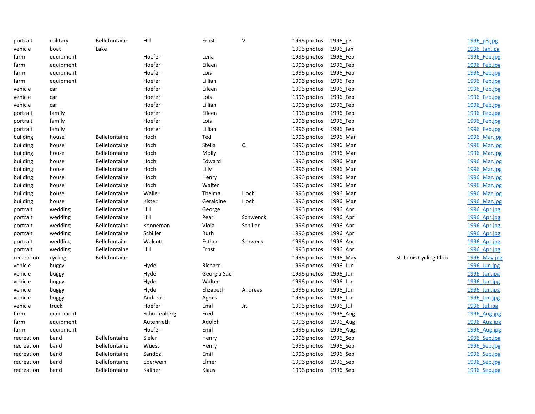| portrait   | military  | Bellefontaine        | Hill         | Ernst       | V.       | 1996 photos          | 1996_p3  |                        | 1996 p3.jpg  |
|------------|-----------|----------------------|--------------|-------------|----------|----------------------|----------|------------------------|--------------|
| vehicle    | boat      | Lake                 |              |             |          | 1996 photos          | 1996 Jan |                        | 1996 Jan.jpg |
| farm       | equipment |                      | Hoefer       | Lena        |          | 1996 photos          | 1996_Feb |                        | 1996 Feb.jpg |
| farm       | equipment |                      | Hoefer       | Eileen      |          | 1996 photos          | 1996_Feb |                        | 1996 Feb.jpg |
| farm       | equipment |                      | Hoefer       | Lois        |          | 1996 photos          | 1996_Feb |                        | 1996 Feb.jpg |
| farm       | equipment |                      | Hoefer       | Lillian     |          | 1996 photos          | 1996_Feb |                        | 1996 Feb.jpg |
| vehicle    | car       |                      | Hoefer       | Eileen      |          | 1996 photos          | 1996_Feb |                        | 1996 Feb.jpg |
| vehicle    | car       |                      | Hoefer       | Lois        |          | 1996 photos          | 1996_Feb |                        | 1996 Feb.jpg |
| vehicle    | car       |                      | Hoefer       | Lillian     |          | 1996 photos          | 1996_Feb |                        | 1996 Feb.jpg |
| portrait   | family    |                      | Hoefer       | Eileen      |          | 1996 photos          | 1996_Feb |                        | 1996 Feb.jpg |
| portrait   | family    |                      | Hoefer       | Lois        |          | 1996 photos          | 1996_Feb |                        | 1996 Feb.jpg |
| portrait   | family    |                      | Hoefer       | Lillian     |          | 1996 photos          | 1996_Feb |                        | 1996 Feb.jpg |
| building   | house     | Bellefontaine        | Hoch         | Ted         |          | 1996 photos          | 1996_Mar |                        | 1996 Mar.jpg |
| building   | house     | Bellefontaine        | Hoch         | Stella      | C.       | 1996 photos          | 1996 Mar |                        | 1996 Mar.jpg |
| building   | house     | <b>Bellefontaine</b> | Hoch         | Molly       |          | 1996 photos          | 1996_Mar |                        | 1996 Mar.jpg |
| building   | house     | <b>Bellefontaine</b> | Hoch         | Edward      |          | 1996 photos          | 1996_Mar |                        | 1996 Mar.jpg |
| building   | house     | Bellefontaine        | Hoch         | Lilly       |          | 1996 photos          | 1996_Mar |                        | 1996 Mar.jpg |
| building   | house     | Bellefontaine        | Hoch         | Henry       |          | 1996 photos          | 1996_Mar |                        | 1996 Mar.jpg |
| building   | house     | Bellefontaine        | Hoch         | Walter      |          | 1996 photos          | 1996_Mar |                        | 1996 Mar.jpg |
| building   | house     | Bellefontaine        | Waller       | Thelma      | Hoch     | 1996 photos          | 1996_Mar |                        | 1996 Mar.jpg |
| building   | house     | Bellefontaine        | Kister       | Geraldine   | Hoch     | 1996 photos          | 1996 Mar |                        | 1996 Mar.jpg |
| portrait   | wedding   | <b>Bellefontaine</b> | Hill         | George      |          | 1996 photos          | 1996_Apr |                        | 1996 Apr.jpg |
| portrait   | wedding   | Bellefontaine        | Hill         | Pearl       | Schwenck | 1996 photos          | 1996_Apr |                        | 1996 Apr.jpg |
| portrait   | wedding   | <b>Bellefontaine</b> | Konneman     | Viola       | Schiller | 1996 photos          | 1996_Apr |                        | 1996 Apr.jpg |
| portrait   | wedding   | Bellefontaine        | Schiller     | Ruth        |          | 1996 photos          | 1996_Apr |                        | 1996 Apr.jpg |
| portrait   | wedding   | Bellefontaine        | Walcott      | Esther      | Schweck  | 1996 photos          | 1996_Apr |                        | 1996 Apr.jpg |
| portrait   | wedding   | Bellefontaine        | Hill         | Ernst       |          | 1996 photos          | 1996_Apr |                        | 1996 Apr.jpg |
| recreation | cycling   | Bellefontaine        |              |             |          | 1996 photos          | 1996_May | St. Louis Cycling Club | 1996 May.jpg |
| vehicle    | buggy     |                      | Hyde         | Richard     |          | 1996 photos          | 1996_Jun |                        | 1996 Jun.jpg |
| vehicle    | buggy     |                      | Hyde         | Georgia Sue |          | 1996 photos          | 1996_Jun |                        | 1996 Jun.jpg |
| vehicle    | buggy     |                      | Hyde         | Walter      |          | 1996 photos          | 1996_Jun |                        | 1996 Jun.jpg |
| vehicle    | buggy     |                      | Hyde         | Elizabeth   | Andreas  | 1996 photos          | 1996_Jun |                        | 1996 Jun.jpg |
| vehicle    | buggy     |                      | Andreas      | Agnes       |          | 1996 photos          | 1996 Jun |                        | 1996 Jun.jpg |
| vehicle    | truck     |                      | Hoefer       | Emil        | Jr.      | 1996 photos          | 1996_Jul |                        | 1996 Jul.jpg |
| farm       | equipment |                      | Schuttenberg | Fred        |          | 1996 photos          | 1996_Aug |                        | 1996 Aug.jpg |
| farm       | equipment |                      | Autenrieth   | Adolph      |          | 1996 photos          | 1996_Aug |                        | 1996 Aug.jpg |
| farm       | equipment |                      | Hoefer       | Emil        |          | 1996 photos          | 1996_Aug |                        | 1996 Aug.jpg |
| recreation | band      | Bellefontaine        | Sieler       | Henry       |          | 1996 photos          | 1996_Sep |                        | 1996 Sep.jpg |
| recreation | band      | Bellefontaine        | Wuest        | Henry       |          | 1996 photos          | 1996_Sep |                        | 1996 Sep.jpg |
| recreation | band      | <b>Bellefontaine</b> | Sandoz       | Emil        |          | 1996 photos          | 1996_Sep |                        | 1996 Sep.jpg |
| recreation | band      | Bellefontaine        | Eberwein     | Elmer       |          | 1996 photos          | 1996_Sep |                        | 1996 Sep.jpg |
| recreation | band      | <b>Bellefontaine</b> | Kaliner      | Klaus       |          | 1996 photos 1996_Sep |          |                        | 1996 Sep.jpg |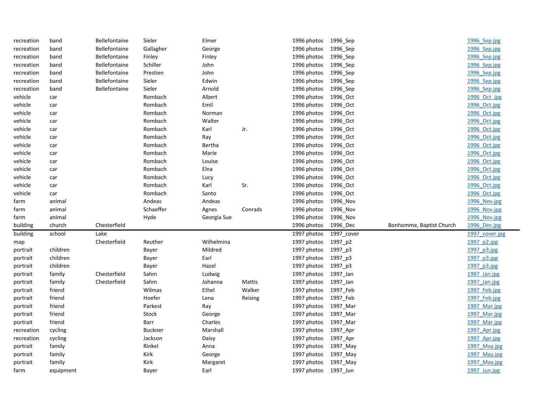|                                                                                            | 1996 Sep.jpg                             |
|--------------------------------------------------------------------------------------------|------------------------------------------|
| Bellefontaine<br>1996 photos<br>1996_Sep<br>recreation<br>Gallagher<br>band<br>George      | 1996 Sep.jpg                             |
| recreation<br>Bellefontaine<br>1996 photos<br>1996_Sep<br>band<br>Finley<br>Finley         | 1996 Sep.jpg                             |
| recreation<br>band<br><b>Bellefontaine</b><br>Schiller<br>John<br>1996 photos<br>1996 Sep  | 1996 Sep.jpg                             |
| John<br>recreation<br>band<br><b>Bellefontaine</b><br>Prestien<br>1996 photos<br>1996 Sep  | 1996 Sep.jpg                             |
| recreation<br><b>Bellefontaine</b><br>Edwin<br>1996 photos<br>1996_Sep<br>band<br>Sieler   | 1996 Sep.jpg                             |
| Bellefontaine<br>Sieler<br>Arnold<br>1996 photos<br>recreation<br>1996 Sep<br>band         | 1996 Sep.jpg                             |
| Albert<br>vehicle<br>Rombach<br>1996 photos<br>1996 Oct<br>car                             | 1996 Oct .jpg                            |
| Emil<br>vehicle<br>Rombach<br>1996 photos<br>1996 Oct<br>car                               | 1996 Oct.jpg                             |
| vehicle<br>1996 photos<br>1996_Oct<br>Rombach<br>Norman<br>car                             | 1996 Oct.jpg                             |
| vehicle<br>Rombach<br>1996 photos<br>1996_Oct<br>Walter<br>car                             | 1996 Oct.jpg                             |
| vehicle<br>Rombach<br>Karl<br>Jr.<br>1996 photos<br>1996_Oct<br>car                        | 1996 Oct.jpg                             |
| vehicle<br>Rombach<br>1996 photos<br>1996 Oct<br>car<br>Ray                                | 1996 Oct.jpg                             |
| vehicle<br>Bertha<br>1996 photos<br>Rombach<br>1996 Oct<br>car                             | 1996 Oct.jpg                             |
| vehicle<br>Rombach<br>Marie<br>1996 photos<br>1996 Oct<br>car                              | 1996 Oct.jpg                             |
| vehicle<br>Rombach<br>Louise<br>1996 photos<br>1996 Oct<br>car                             | 1996 Oct.jpg                             |
| vehicle<br>Rombach<br>Elna<br>1996 photos<br>1996_Oct<br>car                               | 1996 Oct.jpg                             |
| vehicle<br>Rombach<br>1996 photos<br>1996_Oct<br>Lucy<br>car                               | 1996 Oct.jpg                             |
| vehicle<br>Rombach<br>Karl<br>Sr.<br>1996 photos<br>1996 Oct<br>car                        | 1996 Oct.jpg                             |
| vehicle<br>Rombach<br>Santo<br>1996 photos<br>1996 Oct<br>car                              | 1996 Oct.jpg                             |
| animal<br>Andeas<br>Andeas<br>1996 photos<br>1996 Nov<br>farm                              | 1996 Nov.jpg                             |
| Schaeffer<br>Conrads<br>animal<br>Agnes<br>1996 photos<br>1996 Nov<br>farm                 | 1996 Nov.jpg                             |
| animal<br>Hyde<br>1996 photos<br>1996 Nov<br>farm<br>Georgia Sue                           | 1996 Nov.jpg                             |
| Chesterfield<br>building<br>church<br>1996 photos<br>1996 Dec                              | Bonhomme, Baptist Church<br>1996 Dec.jpg |
| building<br>Lake<br>school<br>1997 photos<br>1997 cover                                    | 1997 cover.jpg                           |
| Chesterfield<br>Reuther<br>Wilhelmina<br>1997 photos<br>1997_p2<br>map                     | 1997 p2.jpg                              |
| Mildred<br>children<br>Bayer<br>1997 photos<br>1997 p3<br>portrait                         | 1997 p3.jpg                              |
| children<br>Earl<br>1997 photos<br>1997_p3<br>Bayer<br>portrait                            | 1997 p3.jpg                              |
| Hazel<br>children<br>1997 photos<br>1997_p3<br>portrait<br>Bayer                           | 1997 p3.jpg                              |
| Chesterfield<br>Sahm<br>1997 photos<br>1997_Jan<br>portrait<br>family<br>Ludwig            | 1997 Jan.jpg                             |
| Chesterfield<br>Sahm<br>Mattis<br>1997 photos<br>portrait<br>family<br>Johanna<br>1997 Jan | 1997 Jan.jpg                             |
| Walker<br>friend<br>Wilmas<br>Ethel<br>1997 photos 1997 Feb<br>portrait                    | 1997 Feb.jpg                             |
| 1997 photos 1997_Feb<br>friend<br>Hoefer<br>Lena<br>Reising<br>portrait                    | 1997 Feb.jpg                             |
| friend<br>Parkest<br>1997 photos<br>1997 Mar<br>portrait<br>Ray                            | 1997 Mar.jpg                             |
| friend<br>Stock<br>1997 photos<br>1997_Mar<br>portrait<br>George                           | 1997 Mar.jpg                             |
|                                                                                            | 1997 Mar.jpg                             |
| friend<br>Charles<br>portrait<br>Barr<br>1997 photos<br>1997 Mar                           |                                          |
| recreation<br><b>Buckner</b><br>Marshall<br>1997 photos<br>1997_Apr<br>cycling             | 1997 Apr.jpg                             |
| recreation<br>Jackson<br>Daisy<br>1997 photos<br>1997_Apr<br>cycling                       | 1997 Apr.jpg                             |
| Rinkel<br>portrait<br>family<br>Anna<br>1997 photos<br>1997_May                            | 1997 May.jpg                             |
| family<br>Kirk<br>1997 photos<br>1997_May<br>portrait<br>George                            | 1997 May.jpg                             |
| Kirk<br>family<br>Margaret<br>1997 photos<br>1997_May<br>portrait                          | 1997 May.jpg                             |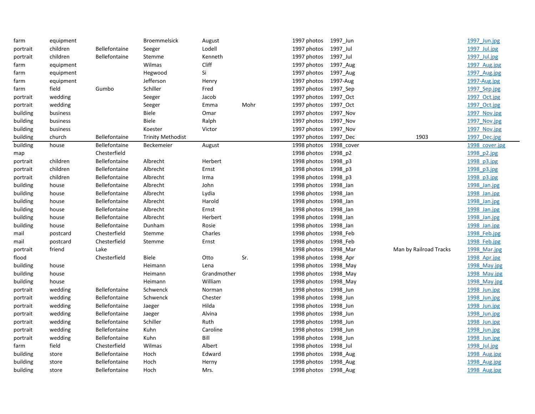| farm     | equipment |                      | <b>Broemmelsick</b>      | August      |      | 1997 photos 1997_Jun |            |                        | 1997 Jun.jpg   |
|----------|-----------|----------------------|--------------------------|-------------|------|----------------------|------------|------------------------|----------------|
| portrait | children  | Bellefontaine        | Seeger                   | Lodell      |      | 1997 photos          | 1997_Jul   |                        | 1997 Jul.jpg   |
| portrait | children  | Bellefontaine        | Stemme                   | Kenneth     |      | 1997 photos          | 1997_Jul   |                        | 1997 Jul.jpg   |
| farm     | equipment |                      | Wilmas                   | Cliff       |      | 1997 photos          | 1997_Aug   |                        | 1997 Aug.jpg   |
| farm     | equipment |                      | Hegwood                  | Si          |      | 1997 photos          | 1997_Aug   |                        | 1997 Aug.jpg   |
| farm     | equipment |                      | Jefferson                | Henry       |      | 1997 photos          | 1997-Aug   |                        | 1997-Aug.jpg   |
| farm     | field     | Gumbo                | Schiller                 | Fred        |      | 1997 photos          | 1997_Sep   |                        | 1997 Sep.jpg   |
| portrait | wedding   |                      | Seeger                   | Jacob       |      | 1997 photos          | 1997_Oct   |                        | 1997 Oct.jpg   |
| portrait | wedding   |                      | Seeger                   | Emma        | Mohr | 1997 photos          | 1997_Oct   |                        | 1997 Oct.jpg   |
| building | business  |                      | Biele                    | Omar        |      | 1997 photos          | 1997_Nov   |                        | 1997 Nov.jpg   |
| building | business  |                      | <b>Biele</b>             | Ralph       |      | 1997 photos          | 1997_Nov   |                        | 1997 Nov.jpg   |
| building | business  |                      | Koester                  | Victor      |      | 1997 photos          | 1997_Nov   |                        | 1997 Nov.jpg   |
| building | church    | Bellefontaine        | <b>Trinity Methodist</b> |             |      | 1997 photos          | 1997 Dec   | 1903                   | 1997 Dec.jpg   |
| building | house     | Bellefontaine        | Beckemeier               | August      |      | 1998 photos          | 1998_cover |                        | 1998 cover.jpg |
| map      |           | Chesterfield         |                          |             |      | 1998 photos          | 1998_p2    |                        | 1998 p2.jpg    |
| portrait | children  | Bellefontaine        | Albrecht                 | Herbert     |      | 1998 photos          | 1998_p3    |                        | 1998 p3.jpg    |
| portrait | children  | Bellefontaine        | Albrecht                 | Ernst       |      | 1998 photos          | 1998_p3    |                        | 1998 p3.jpg    |
| portrait | children  | Bellefontaine        | Albrecht                 | Irma        |      | 1998 photos          | 1998_p3    |                        | 1998 p3.jpg    |
| building | house     | Bellefontaine        | Albrecht                 | John        |      | 1998 photos          | 1998_Jan   |                        | 1998 Jan.jpg   |
| building | house     | Bellefontaine        | Albrecht                 | Lydia       |      | 1998 photos          | 1998_Jan   |                        | 1998 Jan.jpg   |
| building | house     | Bellefontaine        | Albrecht                 | Harold      |      | 1998 photos          | 1998 Jan   |                        | 1998 Jan.jpg   |
| building | house     | <b>Bellefontaine</b> | Albrecht                 | Ernst       |      | 1998 photos          | 1998_Jan   |                        | 1998 Jan.jpg   |
| building | house     | Bellefontaine        | Albrecht                 | Herbert     |      | 1998 photos          | 1998 Jan   |                        | 1998 Jan.jpg   |
| building | house     | Bellefontaine        | Dunham                   | Rosie       |      | 1998 photos          | 1998 Jan   |                        | 1998 Jan.jpg   |
| mail     | postcard  | Chesterfield         | Stemme                   | Charles     |      | 1998 photos          | 1998_Feb   |                        | 1998 Feb.jpg   |
| mail     | postcard  | Chesterfield         | Stemme                   | Ernst       |      | 1998 photos          | 1998_Feb   |                        | 1998 Feb.jpg   |
| portrait | friend    | Lake                 |                          |             |      | 1998 photos          | 1998_Mar   | Man by Railroad Tracks | 1998_Mar.jpg   |
| flood    |           | Chesterfield         | Biele                    | Otto        | Sr.  | 1998 photos          | 1998_Apr   |                        | 1998 Apr.jpg   |
| building | house     |                      | Heimann                  | Lena        |      | 1998 photos          | 1998_May   |                        | 1998_May.jpg   |
| building | house     |                      | Heimann                  | Grandmother |      | 1998 photos          | 1998 May   |                        | 1998 May.jpg   |
| building | house     |                      | Heimann                  | William     |      | 1998 photos          | 1998 May   |                        | 1998 May.jpg   |
| portrait | wedding   | Bellefontaine        | Schwenck                 | Norman      |      | 1998 photos          | 1998_Jun   |                        | 1998 Jun.jpg   |
| portrait | wedding   | Bellefontaine        | Schwenck                 | Chester     |      | 1998 photos          | 1998 Jun   |                        | 1998 Jun.jpg   |
| portrait | wedding   | <b>Bellefontaine</b> | Jaeger                   | Hilda       |      | 1998 photos          | 1998 Jun   |                        | 1998 Jun.jpg   |
| portrait | wedding   | Bellefontaine        | Jaeger                   | Alvina      |      | 1998 photos          | 1998_Jun   |                        | 1998 Jun.jpg   |
| portrait | wedding   | Bellefontaine        | Schiller                 | Ruth        |      | 1998 photos          | 1998 Jun   |                        | 1998 Jun.jpg   |
| portrait | wedding   | Bellefontaine        | Kuhn                     | Caroline    |      | 1998 photos          | 1998_Jun   |                        | 1998 Jun.jpg   |
| portrait | wedding   | Bellefontaine        | Kuhn                     | Bill        |      | 1998 photos          | 1998_Jun   |                        | 1998 Jun.jpg   |
| farm     | field     | Chesterfield         | Wilmas                   | Albert      |      | 1998 photos          | 1998_Jul   |                        | 1998 Jul.jpg   |
| building | store     | <b>Bellefontaine</b> | Hoch                     | Edward      |      | 1998 photos          | 1998_Aug   |                        | 1998 Aug.jpg   |
| building | store     | Bellefontaine        | Hoch                     | Herny       |      | 1998 photos          | 1998 Aug   |                        | 1998 Aug.jpg   |
| building | store     | Bellefontaine        | Hoch                     | Mrs.        |      | 1998 photos 1998 Aug |            |                        | 1998 Aug.jpg   |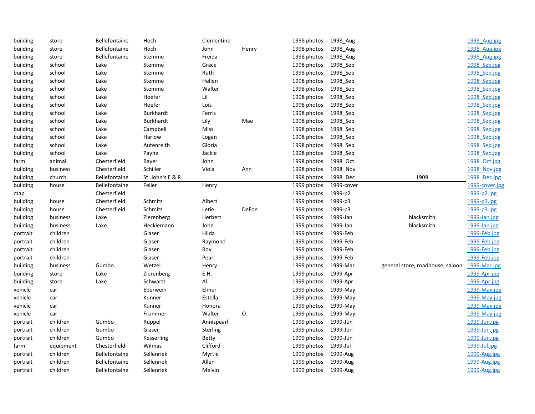| building | store     | <b>Bellefontaine</b> | Hoch             | Clementine      |       | 1998 photos 1998_Aug |            |                                  | 1998 Aug.jpg   |
|----------|-----------|----------------------|------------------|-----------------|-------|----------------------|------------|----------------------------------|----------------|
| building | store     | Bellefontaine        | Hoch             | John            | Henry | 1998 photos          | 1998_Aug   |                                  | 1998 Aug.jpg   |
| building | store     | Bellefontaine        | Stemme           | Freida          |       | 1998 photos          | 1998 Aug   |                                  | 1998 Aug.jpg   |
| building | school    | Lake                 | Stemme           | Grace           |       | 1998 photos          | 1998_Sep   |                                  | 1998 Sep.jpg   |
| building | school    | Lake                 | Stemme           | Ruth            |       | 1998 photos          | 1998_Sep   |                                  | 1998 Sep.jpg   |
| building | school    | Lake                 | Stemme           | Hellen          |       | 1998 photos          | 1998_Sep   |                                  | 1998 Sep.jpg   |
| building | school    | Lake                 | Stemme           | Walter          |       | 1998 photos          | 1998_Sep   |                                  | 1998 Sep.jpg   |
| building | school    | Lake                 | Hoefer           | Lil             |       | 1998 photos          | 1998_Sep   |                                  | 1998 Sep.jpg   |
| building | school    | Lake                 | Hoefer           | Lois            |       | 1998 photos          | 1998 Sep   |                                  | 1998 Sep.jpg   |
| building | school    | Lake                 | Burkhardt        | Ferris          |       | 1998 photos          | 1998 Sep   |                                  | 1998 Sep.jpg   |
| building | school    | Lake                 | <b>Burkhardt</b> | Lily            | Mae   | 1998 photos          | 1998_Sep   |                                  | 1998 Sep.jpg   |
| building | school    | Lake                 | Campbell         | Miss            |       | 1998 photos          | 1998_Sep   |                                  | 1998 Sep.jpg   |
| building | school    | Lake                 | Harlow           | Logan           |       | 1998 photos          | 1998 Sep   |                                  | 1998 Sep.jpg   |
| building | school    | Lake                 | Autenreith       | Gloria          |       | 1998 photos          | 1998_Sep   |                                  | 1998 Sep.jpg   |
| building | school    | Lake                 | Payne            | Jackie          |       | 1998 photos          | 1998_Sep   |                                  | 1998 Sep.jpg   |
| farm     | animal    | Chesterfield         | Bayer            | John            |       | 1998 photos          | 1998_Oct   |                                  | 1998 Oct.jpg   |
| building | business  | Chesterfield         | Schiller         | Viola           | Ann   | 1998 photos          | 1998 Nov   |                                  | 1998 Nov.jpg   |
| building | church    | <b>Bellefontaine</b> | St. John's E & R |                 |       | 1998 photos          | 1998_Dec   | 1909                             | 1998 Dec.jpg   |
| building | house     | Bellefontaine        | Feiler           | Henry           |       | 1999 photos          | 1999-cover |                                  | 1999-cover.jpg |
| map      |           | Chesterfield         |                  |                 |       | 1999 photos          | 1999-p2    |                                  | 1999-p2.jpg    |
| building | house     | Chesterfield         | Schmitz          | Albert          |       | 1999 photos          | 1999-p3    |                                  | 1999-p3.jpg    |
| building | house     | Chesterfield         | Schmitz          | Letie           | DeFoe | 1999 photos          | 1999-p3    |                                  | 1999-p3.jpg    |
| building | business  | Lake                 | Zierenberg       | Herbert         |       | 1999 photos          | 1999-Jan   | blacksmith                       | 1999-Jan.jpg   |
| building | business  | Lake                 | Hecklemann       | John            |       | 1999 photos          | 1999-Jan   | blacksmith                       | 1999-Jan.jpg   |
| portrait | children  |                      | Glaser           | Hilda           |       | 1999 photos          | 1999-Feb   |                                  | 1999-Feb.jpg   |
| portrait | children  |                      | Glaser           | Raymond         |       | 1999 photos          | 1999-Feb   |                                  | 1999-Feb.jpg   |
| portrait | children  |                      | Glaser           | Roy             |       | 1999 photos          | 1999-Feb   |                                  | 1999-Feb.jpg   |
| portrait | children  |                      | Glaser           | Pearl           |       | 1999 photos 1999-Feb |            |                                  | 1999-Feb.jpg   |
| building | business  | Gumbo                | Wetzel           | Henry           |       | 1999 photos          | 1999-Mar   | general store, roadhouse, saloon | 1999-Mar.jpg   |
| building | store     | Lake                 | Zierenberg       | E.H.            |       | 1999 photos          | 1999-Apr   |                                  | 1999-Apr.jpg   |
| building | store     | Lake                 | Schwartz         | Al              |       | 1999 photos          | 1999-Apr   |                                  | 1999-Apr.jpg   |
| vehicle  | car       |                      | Eberwein         | Elmer           |       | 1999 photos          | 1999-May   |                                  | 1999-May.jpg   |
| vehicle  | car       |                      | Kunner           | Estella         |       | 1999 photos          | 1999-May   |                                  | 1999-May.jpg   |
| vehicle  | car       |                      | Kunner           | Honora          |       | 1999 photos          | 1999-May   |                                  | 1999-May.jpg   |
| vehicle  | car       |                      | Frommer          | Walter          | 0.    | 1999 photos          | 1999-May   |                                  | 1999-May.jpg   |
| portrait | children  | Gumbo                | Ruppel           | Annispearl      |       | 1999 photos          | 1999-Jun   |                                  | 1999-Jun.jpg   |
| portrait | children  | Gumbo                | Glaser           | <b>Sterling</b> |       | 1999 photos          | 1999-Jun   |                                  | 1999-Jun.jpg   |
| portrait | children  | Gumbo                | Kesserling       | <b>Betty</b>    |       | 1999 photos          | 1999-Jun   |                                  | 1999-Jun.jpg   |
| farm     | equipment | Chesterfield         | Wilmas           | Clifford        |       | 1999 photos          | 1999-Jul   |                                  | 1999-Jul.jpg   |
| portrait | children  | Bellefontaine        | Sellenriek       | Myrtle          |       | 1999 photos          | 1999-Aug   |                                  | 1999-Aug.jpg   |
| portrait | children  | Bellefontaine        | Sellenriek       | Allen           |       | 1999 photos          | 1999-Aug   |                                  | 1999-Aug.jpg   |
| portrait | children  | <b>Bellefontaine</b> | Sellenriek       | Melvin          |       | 1999 photos          | 1999-Aug   |                                  | 1999-Aug.jpg   |